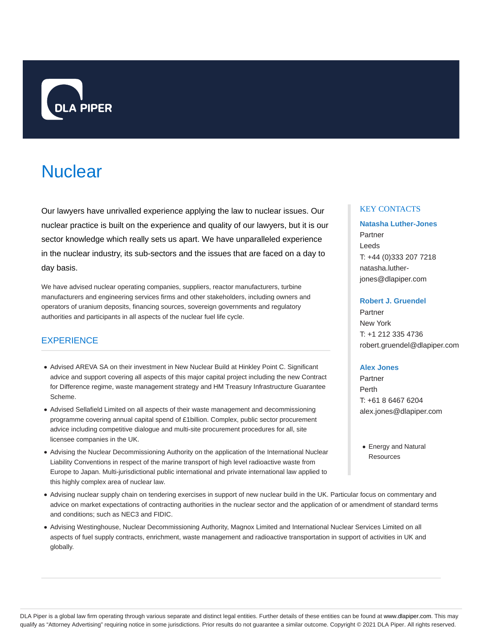

# **Nuclear**

Our lawyers have unrivalled experience applying the law to nuclear issues. Our nuclear practice is built on the experience and quality of our lawyers, but it is our sector knowledge which really sets us apart. We have unparalleled experience in the nuclear industry, its sub-sectors and the issues that are faced on a day to day basis.

We have advised nuclear operating companies, suppliers, reactor manufacturers, turbine manufacturers and engineering services firms and other stakeholders, including owners and operators of uranium deposits, financing sources, sovereign governments and regulatory authorities and participants in all aspects of the nuclear fuel life cycle.

## **EXPERIENCE**

- Advised AREVA SA on their investment in New Nuclear Build at Hinkley Point C. Significant advice and support covering all aspects of this major capital project including the new Contract for Difference regime, waste management strategy and HM Treasury Infrastructure Guarantee Scheme.
- Advised Sellafield Limited on all aspects of their waste management and decommissioning programme covering annual capital spend of £1billion. Complex, public sector procurement advice including competitive dialogue and multi-site procurement procedures for all, site licensee companies in the UK.
- Advising the Nuclear Decommissioning Authority on the application of the International Nuclear Liability Conventions in respect of the marine transport of high level radioactive waste from Europe to Japan. Multi-jurisdictional public international and private international law applied to this highly complex area of nuclear law.
- Advising nuclear supply chain on tendering exercises in support of new nuclear build in the UK. Particular focus on commentary and advice on market expectations of contracting authorities in the nuclear sector and the application of or amendment of standard terms and conditions; such as NEC3 and FIDIC.
- Advising Westinghouse, Nuclear Decommissioning Authority, Magnox Limited and International Nuclear Services Limited on all aspects of fuel supply contracts, enrichment, waste management and radioactive transportation in support of activities in UK and globally.

## KEY CONTACTS

## **Natasha Luther-Jones** Partner Leeds T: +44 (0)333 207 7218 natasha.lutherjones@dlapiper.com

#### **Robert J. Gruendel**

Partner New York T: +1 212 335 4736 robert.gruendel@dlapiper.com

#### **Alex Jones**

Partner Perth T: +61 8 6467 6204 alex.jones@dlapiper.com

Energy and Natural **Resources** 

DLA Piper is a global law firm operating through various separate and distinct legal entities. Further details of these entities can be found at www.dlapiper.com. This may qualify as "Attorney Advertising" requiring notice in some jurisdictions. Prior results do not guarantee a similar outcome. Copyright @ 2021 DLA Piper. All rights reserved.